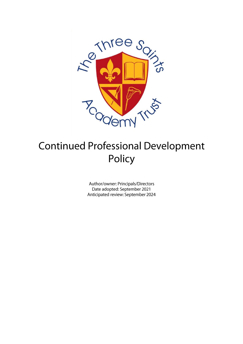

# **Continued Professional Development** Policy

Author/owner: Principals/Directors Date adopted: September 2021 Anticipated review: September 2024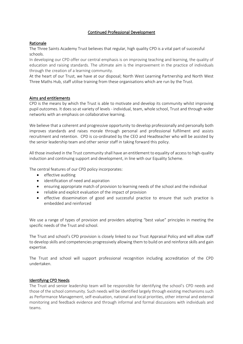## Continued Professional Development

# Rationale

The Three Saints Academy Trust believes that regular, high quality CPD is a vital part of successful schools.

In developing our CPD offer our central emphasis is on improving teaching and learning, the quality of education and raising standards. The ultimate aim is the improvement in the practice of individuals through the creation of a learning community.

At the heart of our Trust, we have at our disposal; North West Learning Partnership and North West Three Maths Hub, staff utilise training from these organisations which are run by the Trust.

## Aims and entitlements

CPD is the means by which the Trust is able to motivate and develop its community whilst improving pupil outcomes. It does so at variety of levels - individual, team, whole school, Trust and through wider networks with an emphasis on collaborative learning.

We believe that a coherent and progressive opportunity to develop professionally and personally both improves standards and raises morale through personal and professional fulfilment and assists recruitment and retention. CPD is co-ordinated by the CEO and Headteacher who will be assisted by the senior leadership team and other senior staff in taking forward this policy.

All those involved in the Trust community shall have an entitlement to equality of access to high-quality induction and continuing support and development, in line with our Equality Scheme.

The central features of our CPD policy incorporates:

- effective auditing
- identification of need and aspiration
- ensuring appropriate match of provision to learning needs of the school and the individual
- reliable and explicit evaluation of the impact of provision
- effective dissemination of good and successful practice to ensure that such practice is embedded and reinforced

We use a range of types of provision and providers adopting "best value" principles in meeting the specific needs of the Trust and school.

The Trust and school's CPD provision is closely linked to our Trust Appraisal Policy and will allow staff to develop skills and competencies progressively allowing them to build on and reinforce skills and gain expertise.

The Trust and school will support professional recognition including accreditation of the CPD undertaken.

## Identifying CPD Needs

The Trust and senior leadership team will be responsible for identifying the school's CPD needs and those of the school community. Such needs will be identified largely through existing mechanisms such as Performance Management, self-evaluation, national and local priorities, other internal and external monitoring and feedback evidence and through informal and formal discussions with individuals and teams.